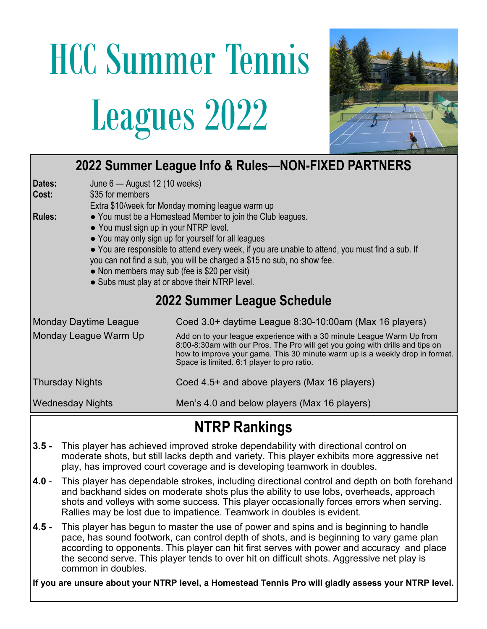## HCC Summer Tennis Leagues 2022



| 2022 Summer League Info & Rules-NON-FIXED PARTNERS                   |                                                                                                                                                                                                                                                                                                                                                                                                                                               |  |  |  |  |  |  |
|----------------------------------------------------------------------|-----------------------------------------------------------------------------------------------------------------------------------------------------------------------------------------------------------------------------------------------------------------------------------------------------------------------------------------------------------------------------------------------------------------------------------------------|--|--|--|--|--|--|
| June 6 - August 12 (10 weeks)<br>Dates:<br>\$35 for members<br>Cost: | Extra \$10/week for Monday morning league warm up                                                                                                                                                                                                                                                                                                                                                                                             |  |  |  |  |  |  |
| <b>Rules:</b>                                                        | • You must be a Homestead Member to join the Club leagues.<br>• You must sign up in your NTRP level.<br>• You may only sign up for yourself for all leagues<br>• You are responsible to attend every week, if you are unable to attend, you must find a sub. If<br>you can not find a sub, you will be charged a \$15 no sub, no show fee.<br>• Non members may sub (fee is \$20 per visit)<br>• Subs must play at or above their NTRP level. |  |  |  |  |  |  |
| 2022 Summer League Schedule                                          |                                                                                                                                                                                                                                                                                                                                                                                                                                               |  |  |  |  |  |  |
| <b>Monday Daytime League</b>                                         | Coed 3.0+ daytime League 8:30-10:00am (Max 16 players)                                                                                                                                                                                                                                                                                                                                                                                        |  |  |  |  |  |  |
| Monday League Warm Up                                                | Add on to your league experience with a 30 minute League Warm Up from<br>8:00-8:30am with our Pros. The Pro will get you going with drills and tips on<br>how to improve your game. This 30 minute warm up is a weekly drop in format.<br>Space is limited. 6:1 player to pro ratio.                                                                                                                                                          |  |  |  |  |  |  |
| <b>Thursday Nights</b>                                               | Coed 4.5+ and above players (Max 16 players)                                                                                                                                                                                                                                                                                                                                                                                                  |  |  |  |  |  |  |
| <b>Wednesday Nights</b>                                              | Men's 4.0 and below players (Max 16 players)                                                                                                                                                                                                                                                                                                                                                                                                  |  |  |  |  |  |  |

## NTRP Rankings

- 3.5 This player has achieved improved stroke dependability with directional control on moderate shots, but still lacks depth and variety. This player exhibits more aggressive net play, has improved court coverage and is developing teamwork in doubles.
- 4.0 This player has dependable strokes, including directional control and depth on both forehand and backhand sides on moderate shots plus the ability to use lobs, overheads, approach shots and volleys with some success. This player occasionally forces errors when serving. Rallies may be lost due to impatience. Teamwork in doubles is evident.
- 4.5 This player has begun to master the use of power and spins and is beginning to handle pace, has sound footwork, can control depth of shots, and is beginning to vary game plan according to opponents. This player can hit first serves with power and accuracy and place the second serve. This player tends to over hit on difficult shots. Aggressive net play is common in doubles.

If you are unsure about your NTRP level, a Homestead Tennis Pro will gladly assess your NTRP level.